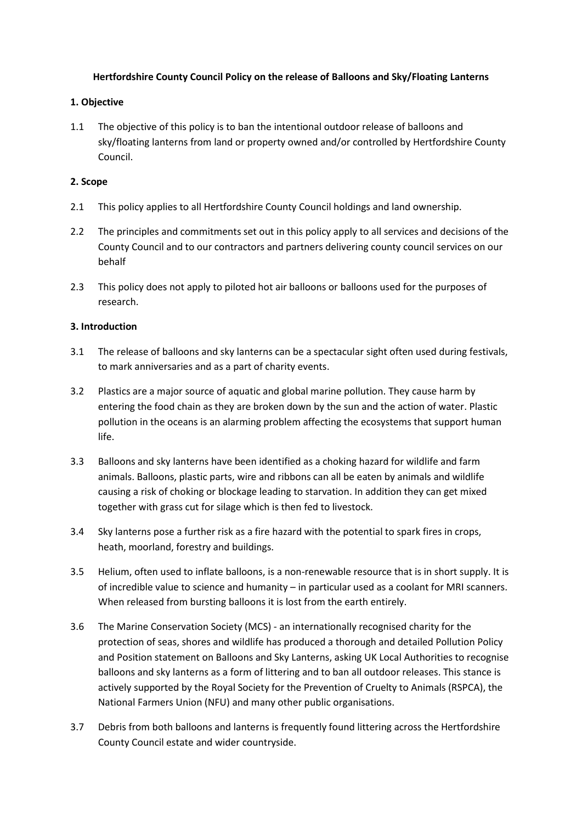## **Hertfordshire County Council Policy on the release of Balloons and Sky/Floating Lanterns**

## **1. Objective**

1.1 The objective of this policy is to ban the intentional outdoor release of balloons and sky/floating lanterns from land or property owned and/or controlled by Hertfordshire County Council.

# **2. Scope**

- 2.1 This policy applies to all Hertfordshire County Council holdings and land ownership.
- 2.2 The principles and commitments set out in this policy apply to all services and decisions of the County Council and to our contractors and partners delivering county council services on our behalf
- 2.3 This policy does not apply to piloted hot air balloons or balloons used for the purposes of research.

## **3. Introduction**

- 3.1 The release of balloons and sky lanterns can be a spectacular sight often used during festivals, to mark anniversaries and as a part of charity events.
- 3.2 Plastics are a major source of aquatic and global marine pollution. They cause harm by entering the food chain as they are broken down by the sun and the action of water. Plastic pollution in the oceans is an alarming problem affecting the ecosystems that support human life.
- 3.3 Balloons and sky lanterns have been identified as a choking hazard for wildlife and farm animals. Balloons, plastic parts, wire and ribbons can all be eaten by animals and wildlife causing a risk of choking or blockage leading to starvation. In addition they can get mixed together with grass cut for silage which is then fed to livestock.
- 3.4 Sky lanterns pose a further risk as a fire hazard with the potential to spark fires in crops, heath, moorland, forestry and buildings.
- 3.5 Helium, often used to inflate balloons, is a non-renewable resource that is in short supply. It is of incredible value to science and humanity – in particular used as a coolant for MRI scanners. When released from bursting balloons it is lost from the earth entirely.
- 3.6 The Marine Conservation Society (MCS) an internationally recognised charity for the protection of seas, shores and wildlife has produced a thorough and detailed Pollution Policy and Position statement on Balloons and Sky Lanterns, asking UK Local Authorities to recognise balloons and sky lanterns as a form of littering and to ban all outdoor releases. This stance is actively supported by the Royal Society for the Prevention of Cruelty to Animals (RSPCA), the National Farmers Union (NFU) and many other public organisations.
- 3.7 Debris from both balloons and lanterns is frequently found littering across the Hertfordshire County Council estate and wider countryside.